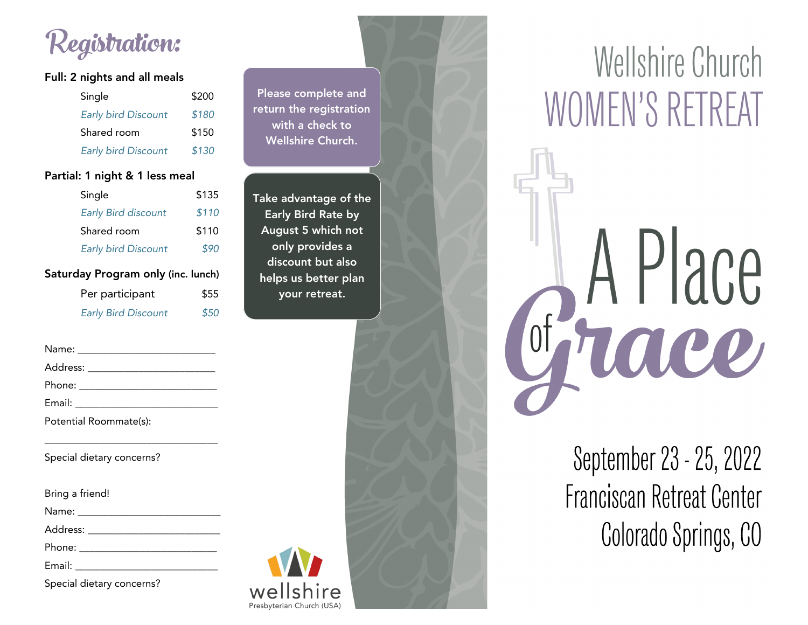Registration:

### **Full: 2 nights and all meals**

| Single                     | \$200 |
|----------------------------|-------|
| <b>Early bird Discount</b> | \$180 |
| Shared room                | \$150 |
|                            |       |
| <b>Early bird Discount</b> | \$130 |

#### **Partial: 1 night & 1 less meal**

| Single                        | \$135 |  |  |
|-------------------------------|-------|--|--|
| <b>Early Bird discount</b>    | \$110 |  |  |
| Shared room                   | \$110 |  |  |
| <b>Early bird Discount</b>    | \$90  |  |  |
| day Program only (inc. lunch) |       |  |  |

| $\cdot$ $\cdot$            | .    |
|----------------------------|------|
| Per participant            | \$55 |
| <b>Early Bird Discount</b> | \$50 |

Name: \_\_\_\_\_\_\_\_\_\_\_\_\_\_\_\_\_\_\_\_\_\_\_\_\_\_\_ Address: \_\_\_\_\_\_\_\_\_\_\_\_\_\_\_\_\_\_\_\_\_\_\_\_\_

Phone: \_\_\_\_\_\_\_\_\_\_\_\_\_\_\_\_\_\_\_\_\_\_\_\_\_\_\_

Satur

|  | Potential Roommate(s): |  |
|--|------------------------|--|
|  |                        |  |

Special dietary concerns?  $\mathcal{S}_1$  dietary concerns?

Bring a friend!

Address: when the set of the set of the set of the set of the set of the set of the set of the set of the set of the set of the set of the set of the set of the set of the set of the set of the set of the set of the set of

Address: \_\_\_\_\_\_\_\_\_\_\_\_\_\_\_\_\_\_\_\_\_\_\_\_\_\_

Phone: \_\_\_\_\_\_\_\_\_\_\_\_\_\_\_\_\_\_\_\_\_\_\_\_\_\_\_

Special dietary concerns?  $\mathcal{S}_1$  dietary concerns?



**Take advantage of the August 5 which not August 5 and 10** discount but also helps us better plan **your retreat. your retreat.**

wellshire Presbyterian Church (USA)



# Wellshire Church WOMEN'S RETREAT

A Place of Figuee

> September 23 - 25, 2022 Franciscan Retreat Center Colorado Springs, CO